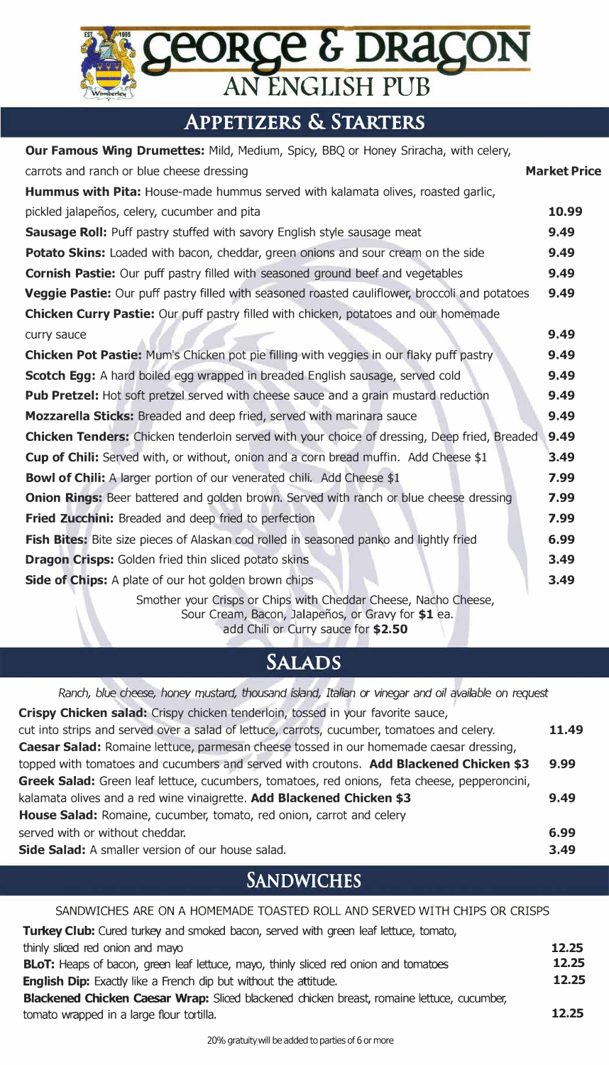# *AN ENGLISH PUB*

# **APPETIZERS & STARTERS**

| Our Famous Wing Drumettes: Mild, Medium, Spicy, BBQ or Honey Sriracha, with celery,                                   |                     |
|-----------------------------------------------------------------------------------------------------------------------|---------------------|
| carrots and ranch or blue cheese dressing                                                                             | <b>Market Price</b> |
| Hummus with Pita: House-made hummus served with kalamata olives, roasted garlic,                                      |                     |
| pickled jalapeños, celery, cucumber and pita                                                                          | 10.99               |
| Sausage Roll: Puff pastry stuffed with savory English style sausage meat                                              | 9.49                |
| <b>Potato Skins:</b> Loaded with bacon, cheddar, green onions and sour cream on the side                              | 9.49                |
| <b>Cornish Pastie:</b> Our puff pastry filled with seasoned ground beef and vegetables                                | 9.49                |
| Veggie Pastie: Our puff pastry filled with seasoned roasted cauliflower, broccoli and potatoes                        | 9.49                |
| <b>Chicken Curry Pastie:</b> Our puff pastry filled with chicken, potatoes and our homemade                           |                     |
| curry sauce                                                                                                           | 9.49                |
| <b>Chicken Pot Pastie:</b> Mum's Chicken pot pie filling with veggies in our flaky puff pastry                        | 9.49                |
| <b>Scotch Egg:</b> A hard boiled egg wrapped in breaded English sausage, served cold                                  | 9.49                |
| <b>Pub Pretzel:</b> Hot soft pretzel served with cheese sauce and a grain mustard reduction                           | 9.49                |
| Mozzarella Sticks: Breaded and deep fried, served with marinara sauce                                                 | 9.49                |
| <b>Chicken Tenders:</b> Chicken tenderloin served with your choice of dressing, Deep fried, Breaded                   | 9.49                |
| Cup of Chili: Served with, or without, onion and a corn bread muffin. Add Cheese \$1                                  | 3.49                |
| <b>Bowl of Chili:</b> A larger portion of our venerated chili. Add Cheese \$1                                         | 7.99                |
| <b>Onion Rings:</b> Beer battered and golden brown. Served with ranch or blue cheese dressing                         | 7.99                |
| Fried Zucchini: Breaded and deep fried to perfection                                                                  | 7.99                |
| Fish Bites: Bite size pieces of Alaskan cod rolled in seasoned panko and lightly fried                                | 6.99                |
| <b>Dragon Crisps:</b> Golden fried thin sliced potato skins                                                           | 3.49                |
| <b>Side of Chips:</b> A plate of our hot golden brown chips                                                           | 3.49                |
| Smother your Crisps or Chips with Cheddar Cheese, Nacho Cheese,<br>Sour Cream, Bacon, Jalapeños, or Gravy for \$1 ea. |                     |

add Chili or Curry sauce for **\$2.50** 

# **SALADS**

| Ranch, blue cheese, honey mustard, thousand island, Italian or vinegar and oil available on request |       |
|-----------------------------------------------------------------------------------------------------|-------|
| Crispy Chicken salad: Crispy chicken tenderloin, tossed in your favorite sauce,                     |       |
| cut into strips and served over a salad of lettuce, carrots, cucumber, tomatoes and celery.         | 11.49 |
| Caesar Salad: Romaine lettuce, parmesan cheese tossed in our homemade caesar dressing,              |       |
| topped with tomatoes and cucumbers and served with croutons. Add Blackened Chicken \$3              | 9.99  |
| Greek Salad: Green leaf lettuce, cucumbers, tomatoes, red onions, feta cheese, pepperoncini,        |       |
| kalamata olives and a red wine vinaigrette. Add Blackened Chicken \$3                               | 9.49  |
| House Salad: Romaine, cucumber, tomato, red onion, carrot and celery                                |       |
| served with or without cheddar.                                                                     | 6.99  |
| Side Salad: A smaller version of our house salad.                                                   | 3.49  |
|                                                                                                     |       |

## **SANDWICHES**

#### SANDWICHES ARE ON A HOMEMADE TOASTED ROLL AND SERVED WITH CHIPS OR CRISPS

| Turkey Club: Cured turkey and smoked bacon, served with green leaf lettuce, tomato,         |       |
|---------------------------------------------------------------------------------------------|-------|
| thinly sliced red onion and mayo                                                            | 12.25 |
| <b>BLoT:</b> Heaps of bacon, green leaf lettuce, mayo, thinly sliced red onion and tomatoes | 12.25 |
| <b>English Dip:</b> Exactly like a French dip but without the attitude.                     | 12.25 |
| Blackened Chicken Caesar Wrap: Sliced blackened chicken breast, romaine lettuce, cucumber,  |       |
| tomato wrapped in a large flour tortilla.                                                   | 12.25 |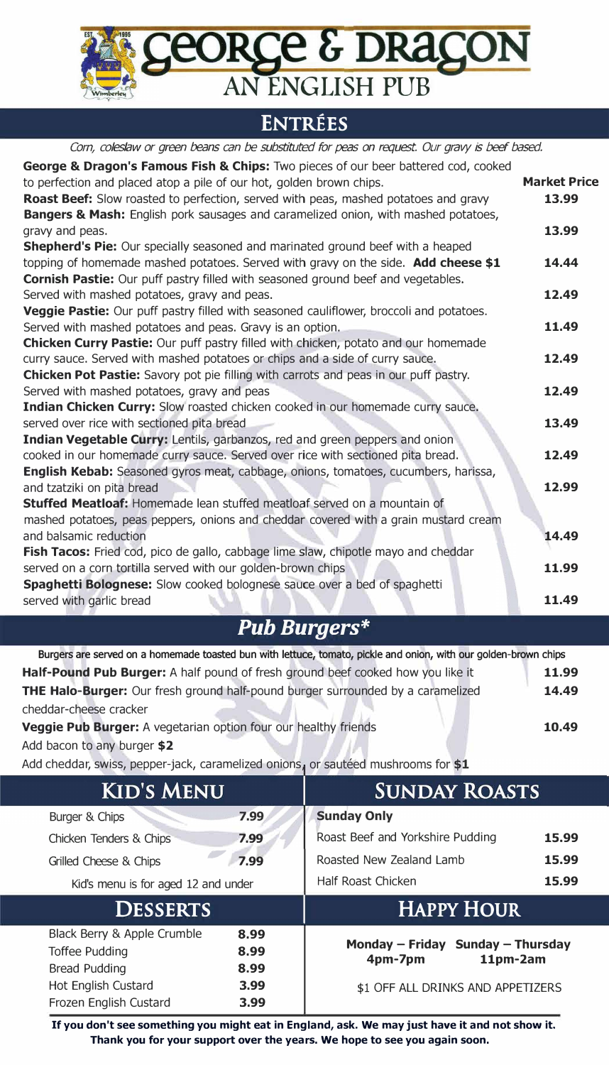**ORGE & DRAGON**<br>AN ENGLISH PUB

### **ENTREES**

| Corn, coleslaw or green beans can be substituted for peas on request. Our gravy is beef based.       |                     |
|------------------------------------------------------------------------------------------------------|---------------------|
| George & Dragon's Famous Fish & Chips: Two pieces of our beer battered cod, cooked                   |                     |
| to perfection and placed atop a pile of our hot, golden brown chips.                                 | <b>Market Price</b> |
| Roast Beef: Slow roasted to perfection, served with peas, mashed potatoes and gravy                  | 13.99               |
| Bangers & Mash: English pork sausages and caramelized onion, with mashed potatoes,                   |                     |
| gravy and peas.                                                                                      | 13.99               |
| Shepherd's Pie: Our specially seasoned and marinated ground beef with a heaped                       |                     |
| topping of homemade mashed potatoes. Served with gravy on the side. Add cheese \$1                   | 14.44               |
| <b>Cornish Pastie:</b> Our puff pastry filled with seasoned ground beef and vegetables.              |                     |
| Served with mashed potatoes, gravy and peas.                                                         | 12.49               |
| Veggie Pastie: Our puff pastry filled with seasoned cauliflower, broccoli and potatoes.              |                     |
| Served with mashed potatoes and peas. Gravy is an option.                                            | 11.49               |
| <b>Chicken Curry Pastie:</b> Our puff pastry filled with chicken, potato and our homemade            |                     |
| curry sauce. Served with mashed potatoes or chips and a side of curry sauce.                         | 12.49               |
| Chicken Pot Pastie: Savory pot pie filling with carrots and peas in our puff pastry.                 |                     |
| Served with mashed potatoes, gravy and peas                                                          | 12.49               |
| Indian Chicken Curry: Slow roasted chicken cooked in our homemade curry sauce.                       |                     |
| served over rice with sectioned pita bread                                                           | 13.49               |
| Indian Vegetable Curry: Lentils, garbanzos, red and green peppers and onion                          |                     |
| cooked in our homemade curry sauce. Served over rice with sectioned pita bread.                      | 12.49               |
| English Kebab: Seasoned gyros meat, cabbage, onions, tomatoes, cucumbers, harissa,                   |                     |
| and tzatziki on pita bread                                                                           | 12.99               |
| Stuffed Meatloaf: Homemade lean stuffed meatloaf served on a mountain of                             |                     |
| mashed potatoes, peas peppers, onions and cheddar covered with a grain mustard cream                 |                     |
| and balsamic reduction                                                                               | 14.49               |
| Fish Tacos: Fried cod, pico de gallo, cabbage lime slaw, chipotle mayo and cheddar                   | 11.99               |
| served on a corn tortilla served with our golden-brown chips                                         |                     |
| Spaghetti Bolognese: Slow cooked bolognese sauce over a bed of spaghetti<br>served with garlic bread | 11.49               |
|                                                                                                      |                     |

# *Pub Burgers\**

| Burgers are served on a homemade toasted bun with lettuce, tomato, pickle and onion, with our golden-brown chips |       |
|------------------------------------------------------------------------------------------------------------------|-------|
| <b>Half-Pound Pub Burger:</b> A half pound of fresh ground beef cooked how you like it                           | 11.99 |
| <b>THE Halo-Burger:</b> Our fresh ground half-pound burger surrounded by a caramelized                           | 14.49 |
| cheddar-cheese cracker                                                                                           |       |
| Veggie Pub Burger: A vegetarian option four our healthy friends                                                  | 10.49 |
| Add bacon to any burger \$2                                                                                      |       |

Add cheddar, swiss, pepper-jack, caramelized onions, or sautéed mushrooms for  $$1$ 

| <b>KID'S MENU</b>                    |      | <b>SUNDAY ROASTS</b>              |       |
|--------------------------------------|------|-----------------------------------|-------|
| Burger & Chips                       | 7.99 | <b>Sunday Only</b>                |       |
| Chicken Tenders & Chips              | 7.99 | Roast Beef and Yorkshire Pudding  | 15.99 |
| Grilled Cheese & Chips               | 7.99 | Roasted New Zealand Lamb          | 15.99 |
| Kid's menu is for aged 12 and under  |      | Half Roast Chicken                | 15.99 |
| <b>HAPPY HOUR</b><br><b>DESSERTS</b> |      |                                   |       |
|                                      |      |                                   |       |
| Black Berry & Apple Crumble          | 8.99 |                                   |       |
| <b>Toffee Pudding</b>                | 8.99 | Monday - Friday Sunday - Thursday |       |
| <b>Bread Pudding</b>                 | 8.99 | 11pm-2am<br>4pm-7pm               |       |
| Hot English Custard                  | 3.99 | \$1 OFF ALL DRINKS AND APPETIZERS |       |

**If you don't see something you might eat in England, ask. We may just have it and not show it. Thank you for your support over the years. We hope to see you again soon.**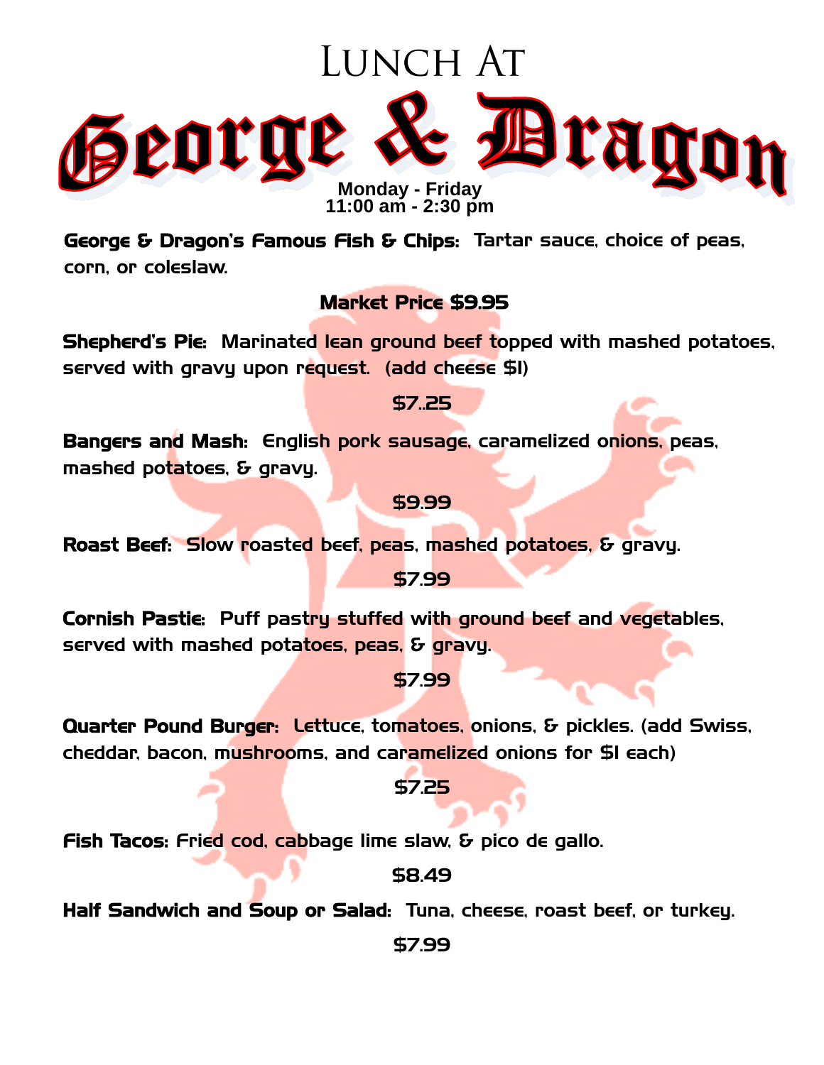# LUNCH AT



**11:00 am - 2:**3**0 pm**

George & Dragon's Famous Fish & Chips: Tartar sauce, choice of peas, corn, or coleslaw.

#### Market Price \$9.95

Shepherd's Pie: Marinated lean ground beef topped with mashed potatoes, served with gravy upon request. (add cheese \$1)

\$7..25

Bangers and Mash: English pork sausage, caramelized onions, peas, mashed potatoes, & gravy.

\$9.99

Roast Beef: Slow roasted beef, peas, mashed potatoes, & gravy.

\$7.99

Cornish Pastie: Puff pastry stuffed with ground beef and vegetables, served with mashed potatoes, peas, & gravy.

\$7.99

Quarter Pound Burger: Lettuce, tomatoes, onions, & pickles. (add Swiss, cheddar, bacon, mushrooms, and caramelized onions for \$1 each)

\$7.25

Fish Tacos: Fried cod, cabbage lime slaw, & pico de gallo.

\$8.49

Half Sandwich and Soup or Salad: Tuna, cheese, roast beef, or turkey.

\$7.99